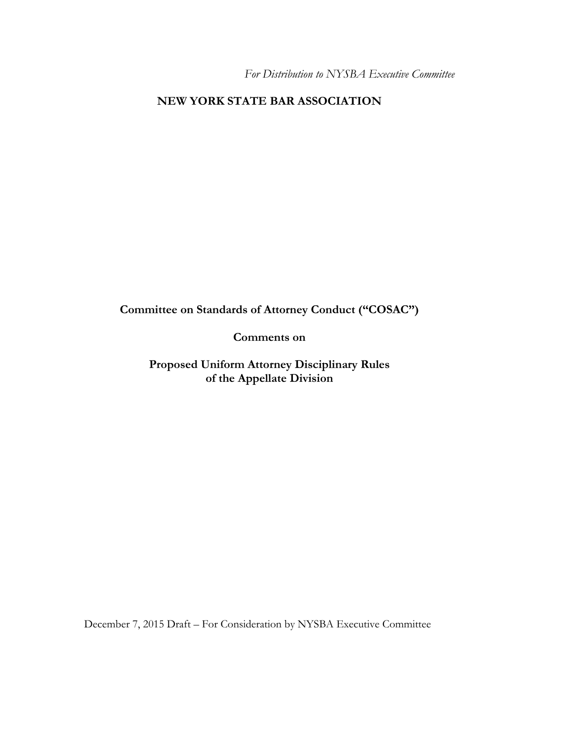*For Distribution to NYSBA Executive Committee* 

## **NEW YORK STATE BAR ASSOCIATION**

**Committee on Standards of Attorney Conduct ("COSAC")** 

**Comments on** 

**Proposed Uniform Attorney Disciplinary Rules of the Appellate Division** 

December 7, 2015 Draft – For Consideration by NYSBA Executive Committee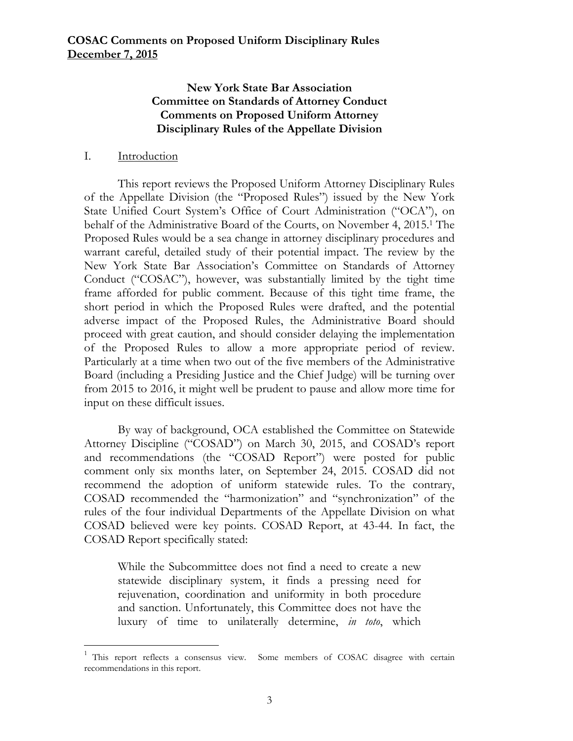## **New York State Bar Association Committee on Standards of Attorney Conduct Comments on Proposed Uniform Attorney Disciplinary Rules of the Appellate Division**

#### I. Introduction

 

This report reviews the Proposed Uniform Attorney Disciplinary Rules of the Appellate Division (the "Proposed Rules") issued by the New York State Unified Court System's Office of Court Administration ("OCA"), on behalf of the Administrative Board of the Courts, on November 4, 2015.1 The Proposed Rules would be a sea change in attorney disciplinary procedures and warrant careful, detailed study of their potential impact. The review by the New York State Bar Association's Committee on Standards of Attorney Conduct ("COSAC"), however, was substantially limited by the tight time frame afforded for public comment. Because of this tight time frame, the short period in which the Proposed Rules were drafted, and the potential adverse impact of the Proposed Rules, the Administrative Board should proceed with great caution, and should consider delaying the implementation of the Proposed Rules to allow a more appropriate period of review. Particularly at a time when two out of the five members of the Administrative Board (including a Presiding Justice and the Chief Judge) will be turning over from 2015 to 2016, it might well be prudent to pause and allow more time for input on these difficult issues.

By way of background, OCA established the Committee on Statewide Attorney Discipline ("COSAD") on March 30, 2015, and COSAD's report and recommendations (the "COSAD Report") were posted for public comment only six months later, on September 24, 2015. COSAD did not recommend the adoption of uniform statewide rules. To the contrary, COSAD recommended the "harmonization" and "synchronization" of the rules of the four individual Departments of the Appellate Division on what COSAD believed were key points. COSAD Report, at 43-44. In fact, the COSAD Report specifically stated:

While the Subcommittee does not find a need to create a new statewide disciplinary system, it finds a pressing need for rejuvenation, coordination and uniformity in both procedure and sanction. Unfortunately, this Committee does not have the luxury of time to unilaterally determine, *in toto*, which

<sup>1</sup> This report reflects a consensus view. Some members of COSAC disagree with certain recommendations in this report.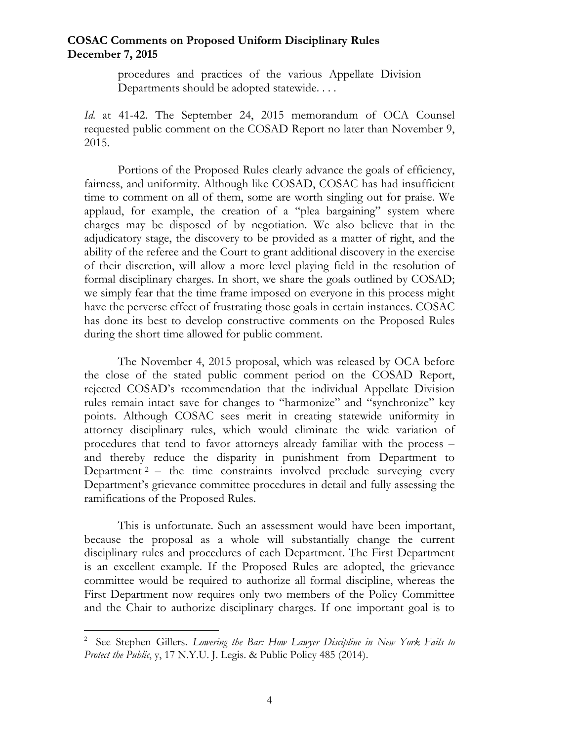procedures and practices of the various Appellate Division Departments should be adopted statewide. . . .

*Id.* at 41-42. The September 24, 2015 memorandum of OCA Counsel requested public comment on the COSAD Report no later than November 9, 2015.

Portions of the Proposed Rules clearly advance the goals of efficiency, fairness, and uniformity. Although like COSAD, COSAC has had insufficient time to comment on all of them, some are worth singling out for praise. We applaud, for example, the creation of a "plea bargaining" system where charges may be disposed of by negotiation. We also believe that in the adjudicatory stage, the discovery to be provided as a matter of right, and the ability of the referee and the Court to grant additional discovery in the exercise of their discretion, will allow a more level playing field in the resolution of formal disciplinary charges. In short, we share the goals outlined by COSAD; we simply fear that the time frame imposed on everyone in this process might have the perverse effect of frustrating those goals in certain instances. COSAC has done its best to develop constructive comments on the Proposed Rules during the short time allowed for public comment.

 The November 4, 2015 proposal, which was released by OCA before the close of the stated public comment period on the COSAD Report, rejected COSAD's recommendation that the individual Appellate Division rules remain intact save for changes to "harmonize" and "synchronize" key points. Although COSAC sees merit in creating statewide uniformity in attorney disciplinary rules, which would eliminate the wide variation of procedures that tend to favor attorneys already familiar with the process – and thereby reduce the disparity in punishment from Department to Department  $2$  – the time constraints involved preclude surveying every Department's grievance committee procedures in detail and fully assessing the ramifications of the Proposed Rules.

 This is unfortunate. Such an assessment would have been important, because the proposal as a whole will substantially change the current disciplinary rules and procedures of each Department. The First Department is an excellent example. If the Proposed Rules are adopted, the grievance committee would be required to authorize all formal discipline, whereas the First Department now requires only two members of the Policy Committee and the Chair to authorize disciplinary charges. If one important goal is to

 

<sup>&</sup>lt;sup>2</sup> See Stephen Gillers. *Lowering the Bar: How Lawyer Discipline in New York Fails to Protect the Public*, y, 17 N.Y.U. J. Legis. & Public Policy 485 (2014).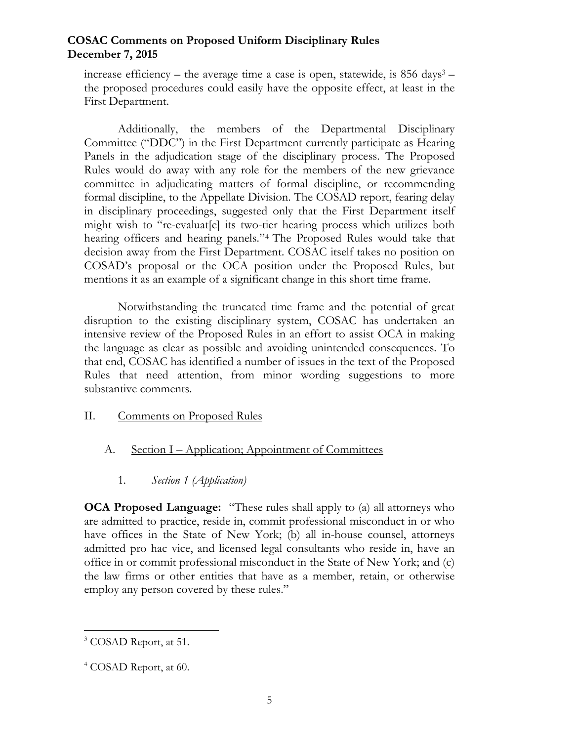increase efficiency – the average time a case is open, statewide, is  $856 \text{ days}^3$  – the proposed procedures could easily have the opposite effect, at least in the First Department.

 Additionally, the members of the Departmental Disciplinary Committee ("DDC") in the First Department currently participate as Hearing Panels in the adjudication stage of the disciplinary process. The Proposed Rules would do away with any role for the members of the new grievance committee in adjudicating matters of formal discipline, or recommending formal discipline, to the Appellate Division. The COSAD report, fearing delay in disciplinary proceedings, suggested only that the First Department itself might wish to "re-evaluat[e] its two-tier hearing process which utilizes both hearing officers and hearing panels."4 The Proposed Rules would take that decision away from the First Department. COSAC itself takes no position on COSAD's proposal or the OCA position under the Proposed Rules, but mentions it as an example of a significant change in this short time frame.

Notwithstanding the truncated time frame and the potential of great disruption to the existing disciplinary system, COSAC has undertaken an intensive review of the Proposed Rules in an effort to assist OCA in making the language as clear as possible and avoiding unintended consequences. To that end, COSAC has identified a number of issues in the text of the Proposed Rules that need attention, from minor wording suggestions to more substantive comments.

### II. Comments on Proposed Rules

- A. Section I Application; Appointment of Committees
	- 1*. Section 1 (Application)*

**OCA Proposed Language:** "These rules shall apply to (a) all attorneys who are admitted to practice, reside in, commit professional misconduct in or who have offices in the State of New York; (b) all in-house counsel, attorneys admitted pro hac vice, and licensed legal consultants who reside in, have an office in or commit professional misconduct in the State of New York; and (c) the law firms or other entities that have as a member, retain, or otherwise employ any person covered by these rules."

 <sup>3</sup> COSAD Report, at 51.

<sup>&</sup>lt;sup>4</sup> COSAD Report, at 60.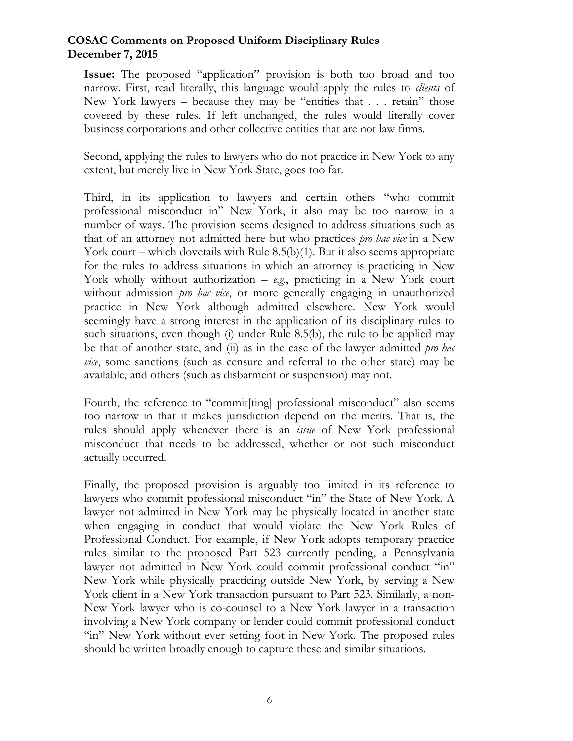**Issue:** The proposed "application" provision is both too broad and too narrow. First, read literally, this language would apply the rules to *clients* of New York lawyers – because they may be "entities that . . . retain" those covered by these rules. If left unchanged, the rules would literally cover business corporations and other collective entities that are not law firms.

Second, applying the rules to lawyers who do not practice in New York to any extent, but merely live in New York State, goes too far.

Third, in its application to lawyers and certain others "who commit professional misconduct in" New York, it also may be too narrow in a number of ways. The provision seems designed to address situations such as that of an attorney not admitted here but who practices *pro hac vice* in a New York court – which dovetails with Rule 8.5(b)(1). But it also seems appropriate for the rules to address situations in which an attorney is practicing in New York wholly without authorization – *e.g.*, practicing in a New York court without admission *pro hac vice*, or more generally engaging in unauthorized practice in New York although admitted elsewhere. New York would seemingly have a strong interest in the application of its disciplinary rules to such situations, even though (i) under Rule 8.5(b), the rule to be applied may be that of another state, and (ii) as in the case of the lawyer admitted *pro hac vice*, some sanctions (such as censure and referral to the other state) may be available, and others (such as disbarment or suspension) may not.

Fourth, the reference to "commit [ting] professional misconduct" also seems too narrow in that it makes jurisdiction depend on the merits. That is, the rules should apply whenever there is an *issue* of New York professional misconduct that needs to be addressed, whether or not such misconduct actually occurred.

Finally, the proposed provision is arguably too limited in its reference to lawyers who commit professional misconduct "in" the State of New York. A lawyer not admitted in New York may be physically located in another state when engaging in conduct that would violate the New York Rules of Professional Conduct. For example, if New York adopts temporary practice rules similar to the proposed Part 523 currently pending, a Pennsylvania lawyer not admitted in New York could commit professional conduct "in" New York while physically practicing outside New York, by serving a New York client in a New York transaction pursuant to Part 523. Similarly, a non-New York lawyer who is co-counsel to a New York lawyer in a transaction involving a New York company or lender could commit professional conduct "in" New York without ever setting foot in New York. The proposed rules should be written broadly enough to capture these and similar situations.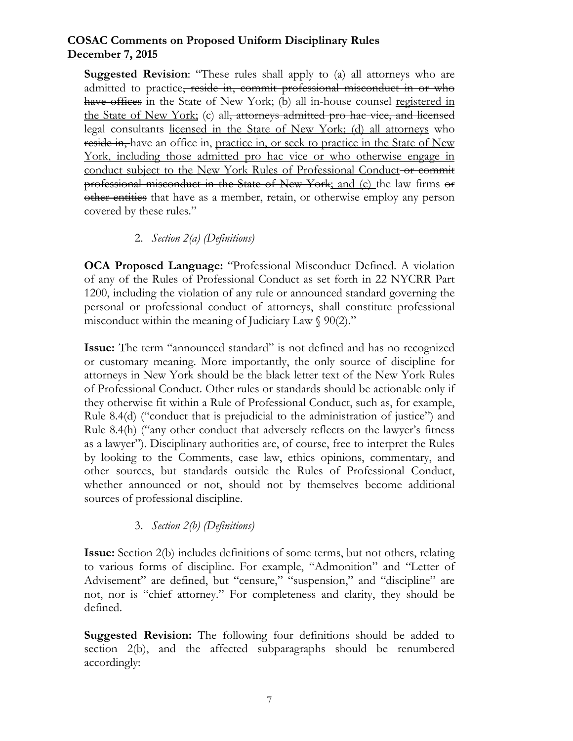**Suggested Revision:** "These rules shall apply to (a) all attorneys who are admitted to practice, reside in, commit professional misconduct in or who have offices in the State of New York; (b) all in-house counsel registered in the State of New York; (c) all, attorneys admitted pro hac vice, and licensed legal consultants licensed in the State of New York; (d) all attorneys who reside in, have an office in, practice in, or seek to practice in the State of New York, including those admitted pro hac vice or who otherwise engage in conduct subject to the New York Rules of Professional Conduct or commit professional misconduct in the State of New York; and (e) the law firms or other entities that have as a member, retain, or otherwise employ any person covered by these rules."

### 2. *Section 2(a) (Definitions)*

**OCA Proposed Language:** "Professional Misconduct Defined. A violation of any of the Rules of Professional Conduct as set forth in 22 NYCRR Part 1200, including the violation of any rule or announced standard governing the personal or professional conduct of attorneys, shall constitute professional misconduct within the meaning of Judiciary Law § 90(2)."

**Issue:** The term "announced standard" is not defined and has no recognized or customary meaning. More importantly, the only source of discipline for attorneys in New York should be the black letter text of the New York Rules of Professional Conduct. Other rules or standards should be actionable only if they otherwise fit within a Rule of Professional Conduct, such as, for example, Rule 8.4(d) ("conduct that is prejudicial to the administration of justice") and Rule 8.4(h) ("any other conduct that adversely reflects on the lawyer's fitness as a lawyer"). Disciplinary authorities are, of course, free to interpret the Rules by looking to the Comments, case law, ethics opinions, commentary, and other sources, but standards outside the Rules of Professional Conduct, whether announced or not, should not by themselves become additional sources of professional discipline.

### 3. *Section 2(b) (Definitions)*

**Issue:** Section 2(b) includes definitions of some terms, but not others, relating to various forms of discipline. For example, "Admonition" and "Letter of Advisement" are defined, but "censure," "suspension," and "discipline" are not, nor is "chief attorney." For completeness and clarity, they should be defined.

**Suggested Revision:** The following four definitions should be added to section 2(b), and the affected subparagraphs should be renumbered accordingly: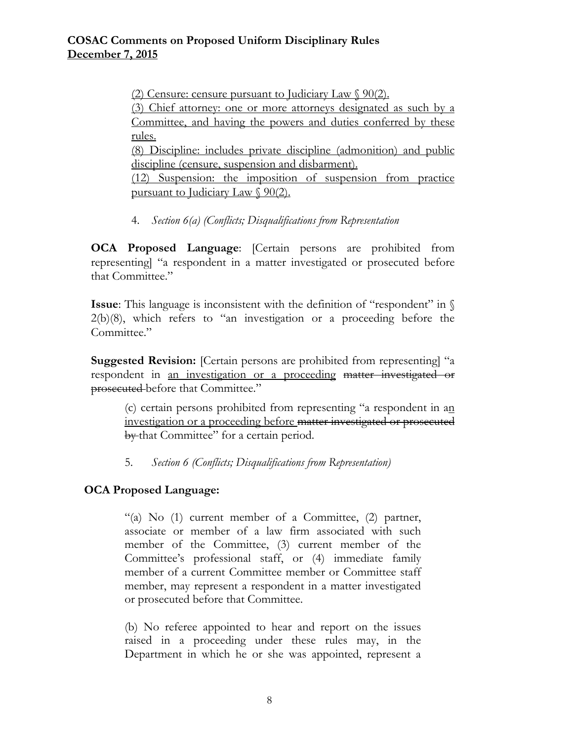(2) Censure: censure pursuant to Judiciary Law  $\sqrt{90(2)}$ .

(3) Chief attorney: one or more attorneys designated as such by a Committee, and having the powers and duties conferred by these rules.

(8) Discipline: includes private discipline (admonition) and public discipline (censure, suspension and disbarment).

(12) Suspension: the imposition of suspension from practice pursuant to Judiciary Law § 90(2).

4. *Section 6(a) (Conflicts; Disqualifications from Representation*

**OCA Proposed Language**: [Certain persons are prohibited from representing] "a respondent in a matter investigated or prosecuted before that Committee."

**Issue**: This language is inconsistent with the definition of "respondent" in  $\Diamond$ 2(b)(8), which refers to "an investigation or a proceeding before the Committee."

**Suggested Revision:** [Certain persons are prohibited from representing] "a respondent in an investigation or a proceeding matter investigated or prosecuted before that Committee."

(c) certain persons prohibited from representing "a respondent in an investigation or a proceeding before matter investigated or prosecuted by that Committee" for a certain period.

5. *Section 6 (Conflicts; Disqualifications from Representation)*

# **OCA Proposed Language:**

"(a) No  $(1)$  current member of a Committee,  $(2)$  partner, associate or member of a law firm associated with such member of the Committee, (3) current member of the Committee's professional staff, or (4) immediate family member of a current Committee member or Committee staff member, may represent a respondent in a matter investigated or prosecuted before that Committee.

(b) No referee appointed to hear and report on the issues raised in a proceeding under these rules may, in the Department in which he or she was appointed, represent a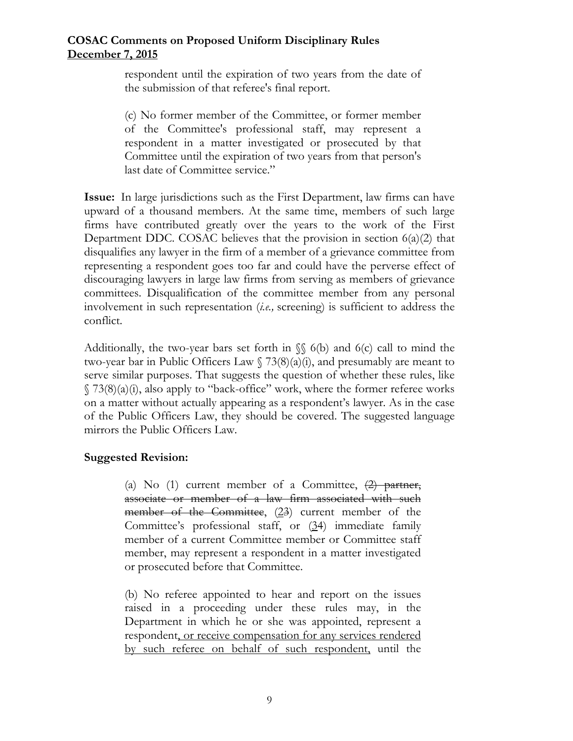respondent until the expiration of two years from the date of the submission of that referee's final report.

(c) No former member of the Committee, or former member of the Committee's professional staff, may represent a respondent in a matter investigated or prosecuted by that Committee until the expiration of two years from that person's last date of Committee service."

**Issue:** In large jurisdictions such as the First Department, law firms can have upward of a thousand members. At the same time, members of such large firms have contributed greatly over the years to the work of the First Department DDC. COSAC believes that the provision in section  $6(a)(2)$  that disqualifies any lawyer in the firm of a member of a grievance committee from representing a respondent goes too far and could have the perverse effect of discouraging lawyers in large law firms from serving as members of grievance committees. Disqualification of the committee member from any personal involvement in such representation (*i.e.,* screening) is sufficient to address the conflict.

Additionally, the two-year bars set forth in  $\S \$  6(b) and 6(c) call to mind the two-year bar in Public Officers Law  $\frac{73(8)(a)}{i}$ , and presumably are meant to serve similar purposes. That suggests the question of whether these rules, like  $\S$  73(8)(a)(i), also apply to "back-office" work, where the former referee works on a matter without actually appearing as a respondent's lawyer. As in the case of the Public Officers Law, they should be covered. The suggested language mirrors the Public Officers Law.

# **Suggested Revision:**

(a) No (1) current member of a Committee,  $\left(2\right)$  partner, associate or member of a law firm associated with such member of the Committee,  $(23)$  current member of the Committee's professional staff, or (34) immediate family member of a current Committee member or Committee staff member, may represent a respondent in a matter investigated or prosecuted before that Committee.

(b) No referee appointed to hear and report on the issues raised in a proceeding under these rules may, in the Department in which he or she was appointed, represent a respondent, or receive compensation for any services rendered by such referee on behalf of such respondent, until the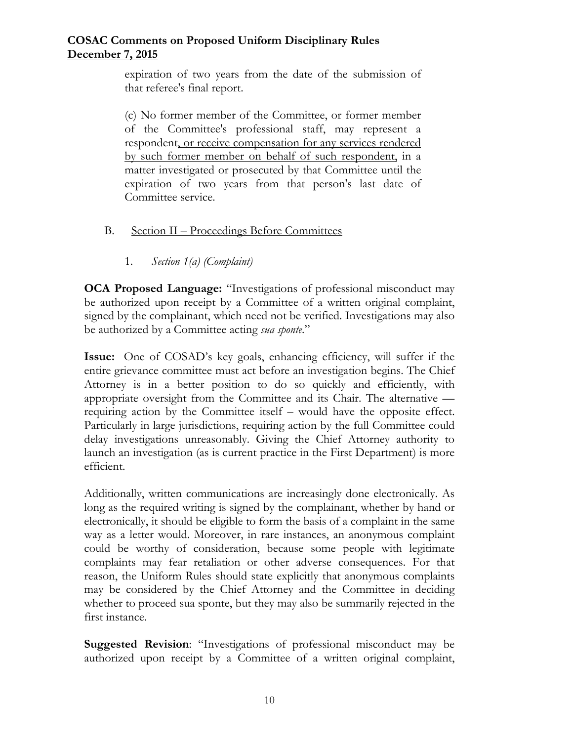expiration of two years from the date of the submission of that referee's final report.

(c) No former member of the Committee, or former member of the Committee's professional staff, may represent a respondent, or receive compensation for any services rendered by such former member on behalf of such respondent, in a matter investigated or prosecuted by that Committee until the expiration of two years from that person's last date of Committee service.

- B. Section II Proceedings Before Committees
	- 1. *Section 1(a) (Complaint)*

**OCA Proposed Language:** "Investigations of professional misconduct may be authorized upon receipt by a Committee of a written original complaint, signed by the complainant, which need not be verified. Investigations may also be authorized by a Committee acting *sua sponte*."

**Issue:** One of COSAD's key goals, enhancing efficiency, will suffer if the entire grievance committee must act before an investigation begins. The Chief Attorney is in a better position to do so quickly and efficiently, with appropriate oversight from the Committee and its Chair. The alternative requiring action by the Committee itself – would have the opposite effect. Particularly in large jurisdictions, requiring action by the full Committee could delay investigations unreasonably. Giving the Chief Attorney authority to launch an investigation (as is current practice in the First Department) is more efficient.

Additionally, written communications are increasingly done electronically. As long as the required writing is signed by the complainant, whether by hand or electronically, it should be eligible to form the basis of a complaint in the same way as a letter would. Moreover, in rare instances, an anonymous complaint could be worthy of consideration, because some people with legitimate complaints may fear retaliation or other adverse consequences. For that reason, the Uniform Rules should state explicitly that anonymous complaints may be considered by the Chief Attorney and the Committee in deciding whether to proceed sua sponte, but they may also be summarily rejected in the first instance.

**Suggested Revision**: "Investigations of professional misconduct may be authorized upon receipt by a Committee of a written original complaint,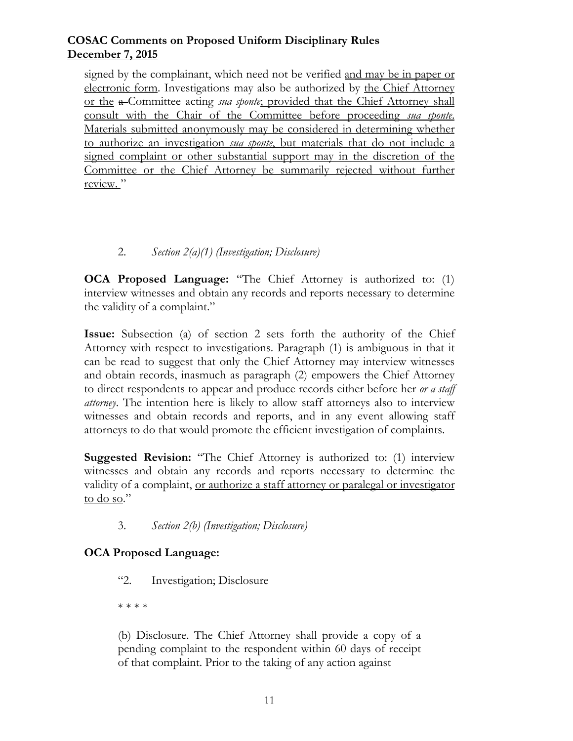signed by the complainant, which need not be verified and may be in paper or electronic form. Investigations may also be authorized by the Chief Attorney or the a Committee acting *sua sponte*; provided that the Chief Attorney shall consult with the Chair of the Committee before proceeding *sua sponte*. Materials submitted anonymously may be considered in determining whether to authorize an investigation *sua sponte*, but materials that do not include a signed complaint or other substantial support may in the discretion of the Committee or the Chief Attorney be summarily rejected without further review."

# 2. *Section 2(a)(1) (Investigation; Disclosure)*

**OCA Proposed Language:** "The Chief Attorney is authorized to: (1) interview witnesses and obtain any records and reports necessary to determine the validity of a complaint."

**Issue:** Subsection (a) of section 2 sets forth the authority of the Chief Attorney with respect to investigations. Paragraph (1) is ambiguous in that it can be read to suggest that only the Chief Attorney may interview witnesses and obtain records, inasmuch as paragraph (2) empowers the Chief Attorney to direct respondents to appear and produce records either before her *or a staff attorney*. The intention here is likely to allow staff attorneys also to interview witnesses and obtain records and reports, and in any event allowing staff attorneys to do that would promote the efficient investigation of complaints.

**Suggested Revision:** "The Chief Attorney is authorized to: (1) interview witnesses and obtain any records and reports necessary to determine the validity of a complaint, or authorize a staff attorney or paralegal or investigator to do so."

3. *Section 2(b) (Investigation; Disclosure)*

# **OCA Proposed Language:**

"2. Investigation; Disclosure

\* \* \* \*

(b) Disclosure. The Chief Attorney shall provide a copy of a pending complaint to the respondent within 60 days of receipt of that complaint. Prior to the taking of any action against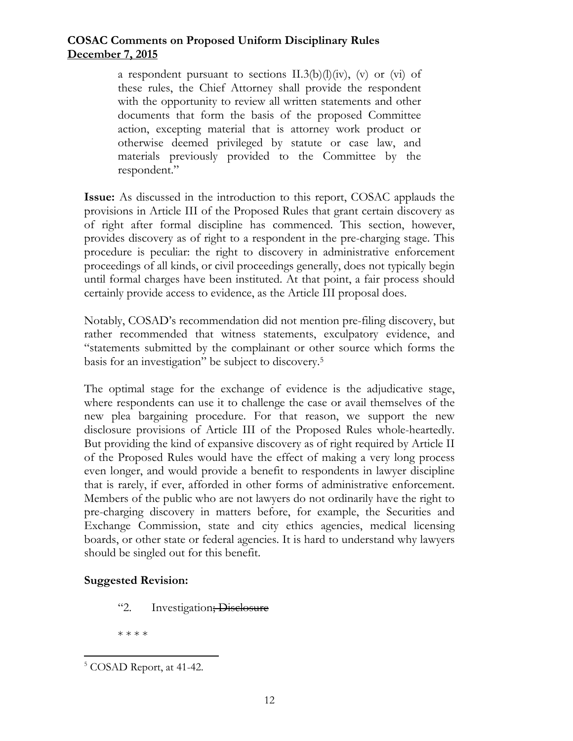a respondent pursuant to sections  $II.3(b)(l)(iv)$ , (v) or (vi) of these rules, the Chief Attorney shall provide the respondent with the opportunity to review all written statements and other documents that form the basis of the proposed Committee action, excepting material that is attorney work product or otherwise deemed privileged by statute or case law, and materials previously provided to the Committee by the respondent."

**Issue:** As discussed in the introduction to this report, COSAC applauds the provisions in Article III of the Proposed Rules that grant certain discovery as of right after formal discipline has commenced. This section, however, provides discovery as of right to a respondent in the pre-charging stage. This procedure is peculiar: the right to discovery in administrative enforcement proceedings of all kinds, or civil proceedings generally, does not typically begin until formal charges have been instituted. At that point, a fair process should certainly provide access to evidence, as the Article III proposal does.

Notably, COSAD's recommendation did not mention pre-filing discovery, but rather recommended that witness statements, exculpatory evidence, and "statements submitted by the complainant or other source which forms the basis for an investigation" be subject to discovery.5

The optimal stage for the exchange of evidence is the adjudicative stage, where respondents can use it to challenge the case or avail themselves of the new plea bargaining procedure. For that reason, we support the new disclosure provisions of Article III of the Proposed Rules whole-heartedly. But providing the kind of expansive discovery as of right required by Article II of the Proposed Rules would have the effect of making a very long process even longer, and would provide a benefit to respondents in lawyer discipline that is rarely, if ever, afforded in other forms of administrative enforcement. Members of the public who are not lawyers do not ordinarily have the right to pre-charging discovery in matters before, for example, the Securities and Exchange Commission, state and city ethics agencies, medical licensing boards, or other state or federal agencies. It is hard to understand why lawyers should be singled out for this benefit.

# **Suggested Revision:**

"2. Investigation; Disclosure

\* \* \* \*

 

<sup>&</sup>lt;sup>5</sup> COSAD Report, at 41-42.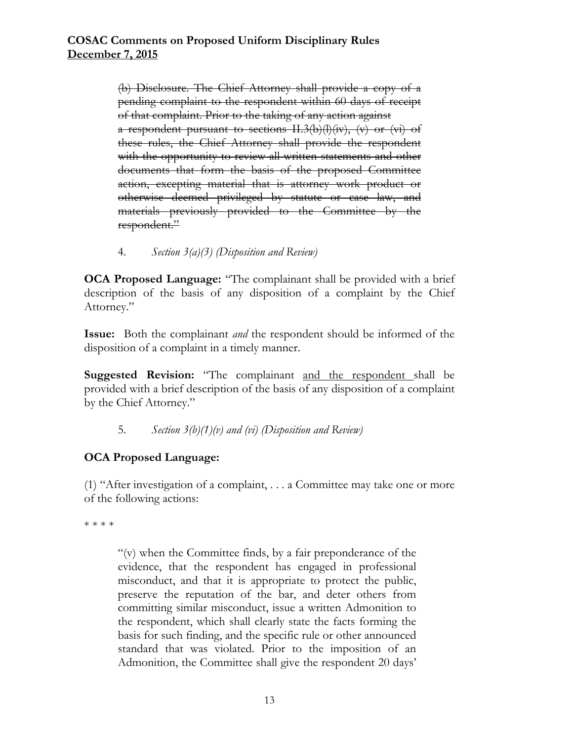(b) Disclosure. The Chief Attorney shall provide a copy of a pending complaint to the respondent within 60 days of receipt of that complaint. Prior to the taking of any action against a respondent pursuant to sections II.3(b)(l)(iv), (v) or (vi) of these rules, the Chief Attorney shall provide the respondent with the opportunity to review all written statements and other documents that form the basis of the proposed Committee action, excepting material that is attorney work product or otherwise deemed privileged by statute or case law, and materials previously provided to the Committee by the respondent."

4. *Section 3(a)(3) (Disposition and Review)* 

**OCA Proposed Language:** "The complainant shall be provided with a brief description of the basis of any disposition of a complaint by the Chief Attorney."

**Issue:** Both the complainant *and* the respondent should be informed of the disposition of a complaint in a timely manner.

Suggested Revision: "The complainant and the respondent shall be provided with a brief description of the basis of any disposition of a complaint by the Chief Attorney."

5. *Section 3(b)(1)(v) and (vi) (Disposition and Review)* 

# **OCA Proposed Language:**

(1) "After investigation of a complaint, . . . a Committee may take one or more of the following actions:

\* \* \* \*

"(v) when the Committee finds, by a fair preponderance of the evidence, that the respondent has engaged in professional misconduct, and that it is appropriate to protect the public, preserve the reputation of the bar, and deter others from committing similar misconduct, issue a written Admonition to the respondent, which shall clearly state the facts forming the basis for such finding, and the specific rule or other announced standard that was violated. Prior to the imposition of an Admonition, the Committee shall give the respondent 20 days'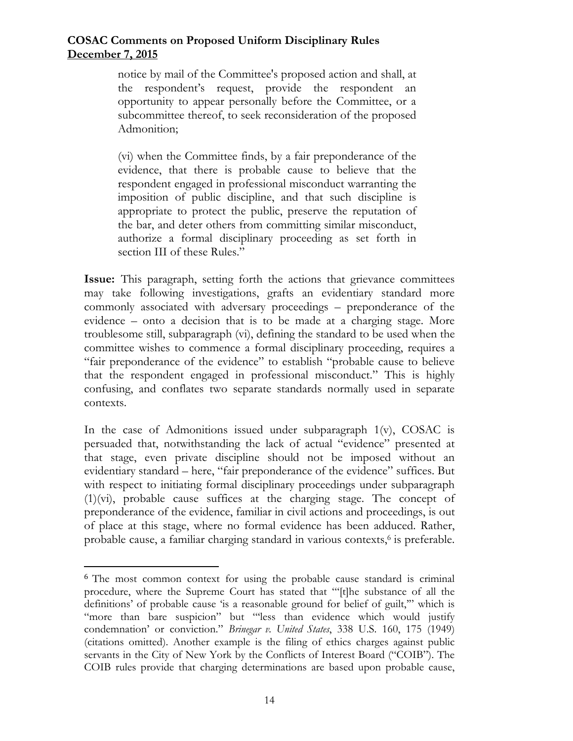notice by mail of the Committee's proposed action and shall, at the respondent's request, provide the respondent an opportunity to appear personally before the Committee, or a subcommittee thereof, to seek reconsideration of the proposed Admonition;

(vi) when the Committee finds, by a fair preponderance of the evidence, that there is probable cause to believe that the respondent engaged in professional misconduct warranting the imposition of public discipline, and that such discipline is appropriate to protect the public, preserve the reputation of the bar, and deter others from committing similar misconduct, authorize a formal disciplinary proceeding as set forth in section III of these Rules."

**Issue:** This paragraph, setting forth the actions that grievance committees may take following investigations, grafts an evidentiary standard more commonly associated with adversary proceedings – preponderance of the evidence – onto a decision that is to be made at a charging stage. More troublesome still, subparagraph (vi), defining the standard to be used when the committee wishes to commence a formal disciplinary proceeding, requires a "fair preponderance of the evidence" to establish "probable cause to believe that the respondent engaged in professional misconduct." This is highly confusing, and conflates two separate standards normally used in separate contexts.

In the case of Admonitions issued under subparagraph  $1(v)$ , COSAC is persuaded that, notwithstanding the lack of actual "evidence" presented at that stage, even private discipline should not be imposed without an evidentiary standard – here, "fair preponderance of the evidence" suffices. But with respect to initiating formal disciplinary proceedings under subparagraph (1)(vi), probable cause suffices at the charging stage. The concept of preponderance of the evidence, familiar in civil actions and proceedings, is out of place at this stage, where no formal evidence has been adduced. Rather, probable cause, a familiar charging standard in various contexts,<sup>6</sup> is preferable.

 

<sup>6</sup> The most common context for using the probable cause standard is criminal procedure, where the Supreme Court has stated that "'[t]he substance of all the definitions' of probable cause 'is a reasonable ground for belief of guilt,'" which is "more than bare suspicion" but "less than evidence which would justify condemnation' or conviction." *Brinegar v. United States*, 338 U.S. 160, 175 (1949) (citations omitted). Another example is the filing of ethics charges against public servants in the City of New York by the Conflicts of Interest Board ("COIB"). The COIB rules provide that charging determinations are based upon probable cause,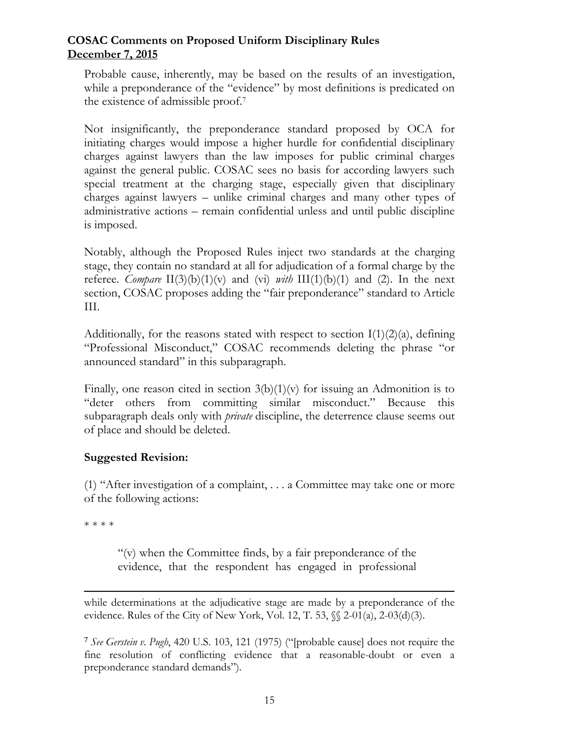Probable cause, inherently, may be based on the results of an investigation, while a preponderance of the "evidence" by most definitions is predicated on the existence of admissible proof.7

Not insignificantly, the preponderance standard proposed by OCA for initiating charges would impose a higher hurdle for confidential disciplinary charges against lawyers than the law imposes for public criminal charges against the general public. COSAC sees no basis for according lawyers such special treatment at the charging stage, especially given that disciplinary charges against lawyers – unlike criminal charges and many other types of administrative actions – remain confidential unless and until public discipline is imposed.

Notably, although the Proposed Rules inject two standards at the charging stage, they contain no standard at all for adjudication of a formal charge by the referee. *Compare*  $\text{II}(3)(b)(1)(v)$  and  $(vi)$  *with*  $\text{III}(1)(b)(1)$  and (2). In the next section, COSAC proposes adding the "fair preponderance" standard to Article III.

Additionally, for the reasons stated with respect to section  $I(1)(2)(a)$ , defining "Professional Misconduct," COSAC recommends deleting the phrase "or announced standard" in this subparagraph.

Finally, one reason cited in section  $3(b)(1)(v)$  for issuing an Admonition is to "deter others from committing similar misconduct." Because this subparagraph deals only with *private* discipline, the deterrence clause seems out of place and should be deleted.

# **Suggested Revision:**

(1) "After investigation of a complaint, . . . a Committee may take one or more of the following actions:

\* \* \* \*

"(v) when the Committee finds, by a fair preponderance of the evidence, that the respondent has engaged in professional

while determinations at the adjudicative stage are made by a preponderance of the evidence. Rules of the City of New York, Vol. 12, T. 53, §§ 2-01(a), 2-03(d)(3).

<u> 1989 - Andrea San Aonaichte ann an Cathair an Comhan ann an t-Aonaichte ann an t-Aonaichte ann an t-Aonaich</u>

<sup>7</sup> *See Gerstein v. Pugh*, 420 U.S. 103, 121 (1975) ("[probable cause] does not require the fine resolution of conflicting evidence that a reasonable-doubt or even a preponderance standard demands").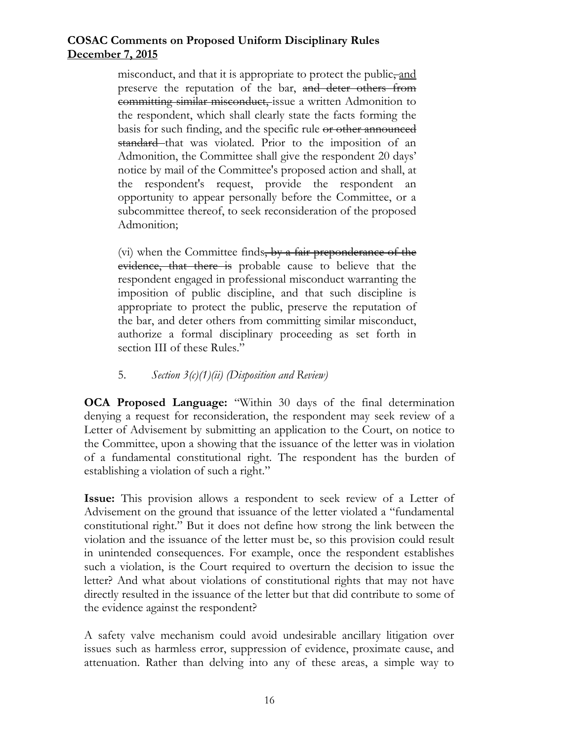misconduct, and that it is appropriate to protect the public, and preserve the reputation of the bar, and deter others from committing similar misconduct, issue a written Admonition to the respondent, which shall clearly state the facts forming the basis for such finding, and the specific rule or other announced standard that was violated. Prior to the imposition of an Admonition, the Committee shall give the respondent 20 days' notice by mail of the Committee's proposed action and shall, at the respondent's request, provide the respondent an opportunity to appear personally before the Committee, or a subcommittee thereof, to seek reconsideration of the proposed Admonition;

(vi) when the Committee finds, by a fair preponderance of the evidence, that there is probable cause to believe that the respondent engaged in professional misconduct warranting the imposition of public discipline, and that such discipline is appropriate to protect the public, preserve the reputation of the bar, and deter others from committing similar misconduct, authorize a formal disciplinary proceeding as set forth in section III of these Rules."

# 5. *Section 3(c)(1)(ii) (Disposition and Review)*

**OCA Proposed Language:** "Within 30 days of the final determination denying a request for reconsideration, the respondent may seek review of a Letter of Advisement by submitting an application to the Court, on notice to the Committee, upon a showing that the issuance of the letter was in violation of a fundamental constitutional right. The respondent has the burden of establishing a violation of such a right."

**Issue:** This provision allows a respondent to seek review of a Letter of Advisement on the ground that issuance of the letter violated a "fundamental constitutional right." But it does not define how strong the link between the violation and the issuance of the letter must be, so this provision could result in unintended consequences. For example, once the respondent establishes such a violation, is the Court required to overturn the decision to issue the letter? And what about violations of constitutional rights that may not have directly resulted in the issuance of the letter but that did contribute to some of the evidence against the respondent?

A safety valve mechanism could avoid undesirable ancillary litigation over issues such as harmless error, suppression of evidence, proximate cause, and attenuation. Rather than delving into any of these areas, a simple way to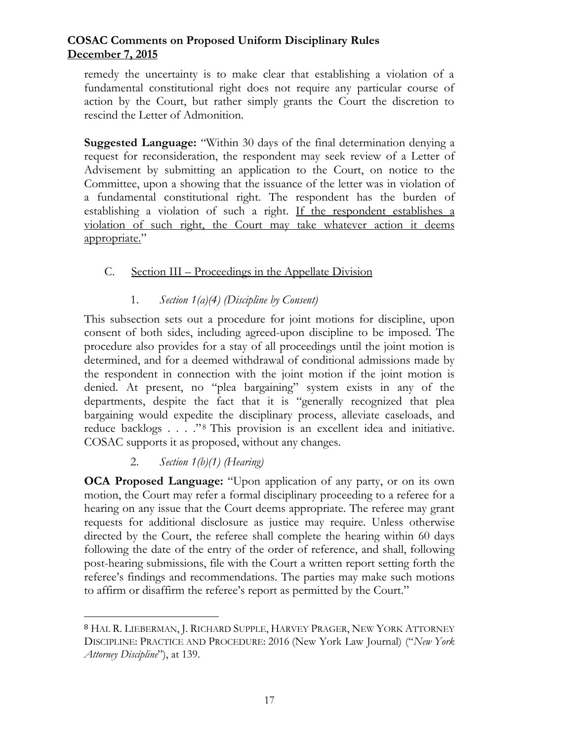remedy the uncertainty is to make clear that establishing a violation of a fundamental constitutional right does not require any particular course of action by the Court, but rather simply grants the Court the discretion to rescind the Letter of Admonition.

**Suggested Language:** "Within 30 days of the final determination denying a request for reconsideration, the respondent may seek review of a Letter of Advisement by submitting an application to the Court, on notice to the Committee, upon a showing that the issuance of the letter was in violation of a fundamental constitutional right. The respondent has the burden of establishing a violation of such a right. If the respondent establishes a violation of such right, the Court may take whatever action it deems appropriate."

# C. Section III – Proceedings in the Appellate Division

# 1. *Section 1(a)(4) (Discipline by Consent)*

This subsection sets out a procedure for joint motions for discipline, upon consent of both sides, including agreed-upon discipline to be imposed. The procedure also provides for a stay of all proceedings until the joint motion is determined, and for a deemed withdrawal of conditional admissions made by the respondent in connection with the joint motion if the joint motion is denied. At present, no "plea bargaining" system exists in any of the departments, despite the fact that it is "generally recognized that plea bargaining would expedite the disciplinary process, alleviate caseloads, and reduce backlogs . . . . "<sup>8</sup> This provision is an excellent idea and initiative. COSAC supports it as proposed, without any changes.

# 2. *Section 1(b)(1) (Hearing)*

 

**OCA Proposed Language:** "Upon application of any party, or on its own motion, the Court may refer a formal disciplinary proceeding to a referee for a hearing on any issue that the Court deems appropriate. The referee may grant requests for additional disclosure as justice may require. Unless otherwise directed by the Court, the referee shall complete the hearing within 60 days following the date of the entry of the order of reference, and shall, following post-hearing submissions, file with the Court a written report setting forth the referee's findings and recommendations. The parties may make such motions to affirm or disaffirm the referee's report as permitted by the Court."

<sup>8</sup> HAL R. LIEBERMAN, J. RICHARD SUPPLE, HARVEY PRAGER, NEW YORK ATTORNEY DISCIPLINE: PRACTICE AND PROCEDURE: 2016 (New York Law Journal) ("*New York Attorney Discipline*"), at 139.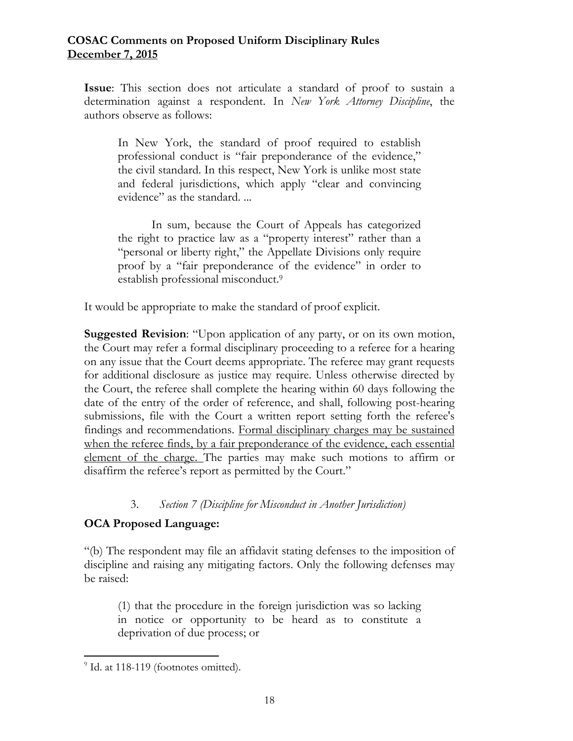**Issue**: This section does not articulate a standard of proof to sustain a determination against a respondent. In *New York Attorney Discipline*, the authors observe as follows:

In New York, the standard of proof required to establish professional conduct is "fair preponderance of the evidence," the civil standard. In this respect, New York is unlike most state and federal jurisdictions, which apply "clear and convincing evidence" as the standard. ...

 In sum, because the Court of Appeals has categorized the right to practice law as a "property interest" rather than a "personal or liberty right," the Appellate Divisions only require proof by a "fair preponderance of the evidence" in order to establish professional misconduct.9

It would be appropriate to make the standard of proof explicit.

**Suggested Revision**: "Upon application of any party, or on its own motion, the Court may refer a formal disciplinary proceeding to a referee for a hearing on any issue that the Court deems appropriate. The referee may grant requests for additional disclosure as justice may require. Unless otherwise directed by the Court, the referee shall complete the hearing within 60 days following the date of the entry of the order of reference, and shall, following post-hearing submissions, file with the Court a written report setting forth the referee's findings and recommendations. Formal disciplinary charges may be sustained when the referee finds, by a fair preponderance of the evidence, each essential element of the charge. The parties may make such motions to affirm or disaffirm the referee's report as permitted by the Court."

# 3. *Section 7 (Discipline for Misconduct in Another Jurisdiction)*

# **OCA Proposed Language:**

"(b) The respondent may file an affidavit stating defenses to the imposition of discipline and raising any mitigating factors. Only the following defenses may be raised:

(1) that the procedure in the foreign jurisdiction was so lacking in notice or opportunity to be heard as to constitute a deprivation of due process; or

 

<sup>&</sup>lt;sup>9</sup> Id. at 118-119 (footnotes omitted).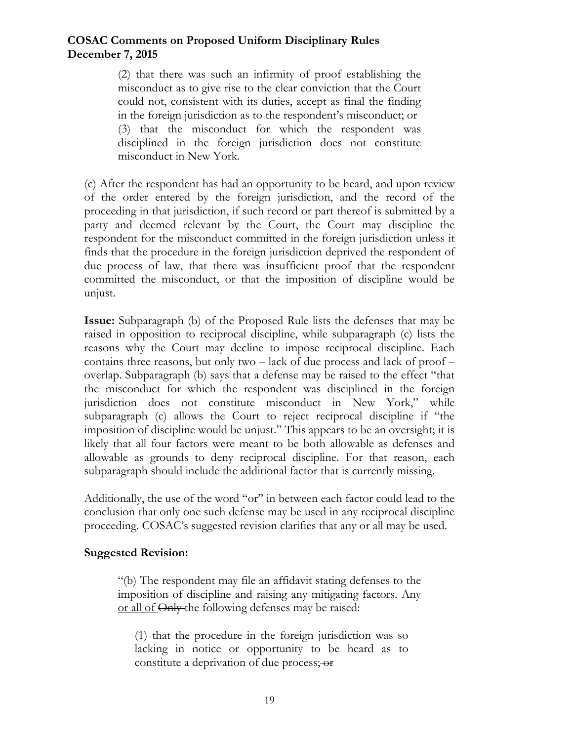(2) that there was such an infirmity of proof establishing the misconduct as to give rise to the clear conviction that the Court could not, consistent with its duties, accept as final the finding in the foreign jurisdiction as to the respondent's misconduct; or (3) that the misconduct for which the respondent was disciplined in the foreign jurisdiction does not constitute misconduct in New York.

(c) After the respondent has had an opportunity to be heard, and upon review of the order entered by the foreign jurisdiction, and the record of the proceeding in that jurisdiction, if such record or part thereof is submitted by a party and deemed relevant by the Court, the Court may discipline the respondent for the misconduct committed in the foreign jurisdiction unless it finds that the procedure in the foreign jurisdiction deprived the respondent of due process of law, that there was insufficient proof that the respondent committed the misconduct, or that the imposition of discipline would be unjust.

**Issue:** Subparagraph (b) of the Proposed Rule lists the defenses that may be raised in opposition to reciprocal discipline, while subparagraph (c) lists the reasons why the Court may decline to impose reciprocal discipline. Each contains three reasons, but only two – lack of due process and lack of proof – overlap. Subparagraph (b) says that a defense may be raised to the effect "that the misconduct for which the respondent was disciplined in the foreign jurisdiction does not constitute misconduct in New York," while subparagraph (c) allows the Court to reject reciprocal discipline if "the imposition of discipline would be unjust." This appears to be an oversight; it is likely that all four factors were meant to be both allowable as defenses and allowable as grounds to deny reciprocal discipline. For that reason, each subparagraph should include the additional factor that is currently missing.

Additionally, the use of the word "or" in between each factor could lead to the conclusion that only one such defense may be used in any reciprocal discipline proceeding. COSAC's suggested revision clarifies that any or all may be used.

### **Suggested Revision:**

"(b) The respondent may file an affidavit stating defenses to the imposition of discipline and raising any mitigating factors. Any or all of Only the following defenses may be raised:

(1) that the procedure in the foreign jurisdiction was so lacking in notice or opportunity to be heard as to constitute a deprivation of due process; or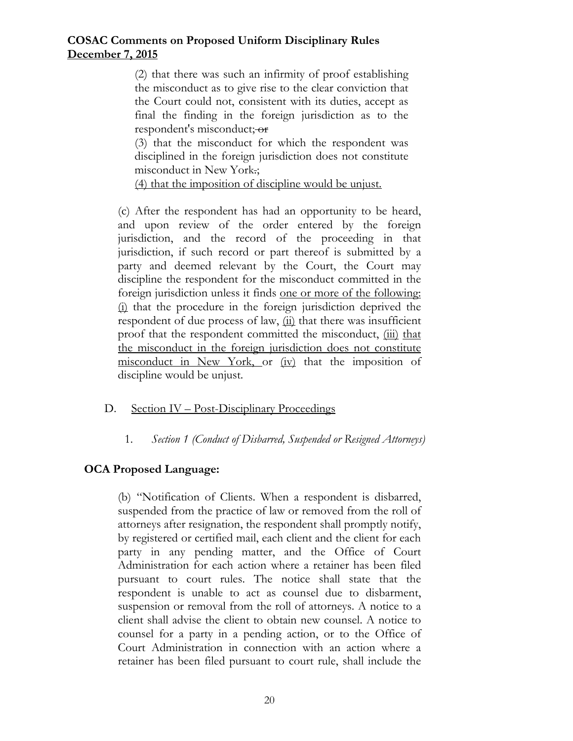(2) that there was such an infirmity of proof establishing the misconduct as to give rise to the clear conviction that the Court could not, consistent with its duties, accept as final the finding in the foreign jurisdiction as to the respondent's misconduct; or

(3) that the misconduct for which the respondent was disciplined in the foreign jurisdiction does not constitute misconduct in New York.;

(4) that the imposition of discipline would be unjust.

(c) After the respondent has had an opportunity to be heard, and upon review of the order entered by the foreign jurisdiction, and the record of the proceeding in that jurisdiction, if such record or part thereof is submitted by a party and deemed relevant by the Court, the Court may discipline the respondent for the misconduct committed in the foreign jurisdiction unless it finds one or more of the following: (i) that the procedure in the foreign jurisdiction deprived the respondent of due process of law,  $\overline{u}$  that there was insufficient proof that the respondent committed the misconduct, (iii) that the misconduct in the foreign jurisdiction does not constitute misconduct in New York, or (iv) that the imposition of discipline would be unjust.

# D. Section IV – Post-Disciplinary Proceedings

# 1. *Section 1 (Conduct of Disbarred, Suspended or Resigned Attorneys)*

# **OCA Proposed Language:**

(b) "Notification of Clients. When a respondent is disbarred, suspended from the practice of law or removed from the roll of attorneys after resignation, the respondent shall promptly notify, by registered or certified mail, each client and the client for each party in any pending matter, and the Office of Court Administration for each action where a retainer has been filed pursuant to court rules. The notice shall state that the respondent is unable to act as counsel due to disbarment, suspension or removal from the roll of attorneys. A notice to a client shall advise the client to obtain new counsel. A notice to counsel for a party in a pending action, or to the Office of Court Administration in connection with an action where a retainer has been filed pursuant to court rule, shall include the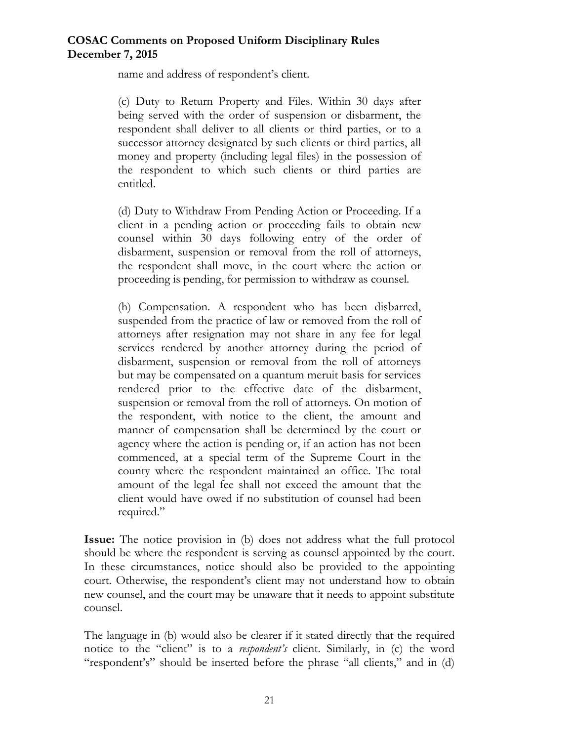name and address of respondent's client.

(c) Duty to Return Property and Files. Within 30 days after being served with the order of suspension or disbarment, the respondent shall deliver to all clients or third parties, or to a successor attorney designated by such clients or third parties, all money and property (including legal files) in the possession of the respondent to which such clients or third parties are entitled.

(d) Duty to Withdraw From Pending Action or Proceeding. If a client in a pending action or proceeding fails to obtain new counsel within 30 days following entry of the order of disbarment, suspension or removal from the roll of attorneys, the respondent shall move, in the court where the action or proceeding is pending, for permission to withdraw as counsel.

(h) Compensation. A respondent who has been disbarred, suspended from the practice of law or removed from the roll of attorneys after resignation may not share in any fee for legal services rendered by another attorney during the period of disbarment, suspension or removal from the roll of attorneys but may be compensated on a quantum meruit basis for services rendered prior to the effective date of the disbarment, suspension or removal from the roll of attorneys. On motion of the respondent, with notice to the client, the amount and manner of compensation shall be determined by the court or agency where the action is pending or, if an action has not been commenced, at a special term of the Supreme Court in the county where the respondent maintained an office. The total amount of the legal fee shall not exceed the amount that the client would have owed if no substitution of counsel had been required."

**Issue:** The notice provision in (b) does not address what the full protocol should be where the respondent is serving as counsel appointed by the court. In these circumstances, notice should also be provided to the appointing court. Otherwise, the respondent's client may not understand how to obtain new counsel, and the court may be unaware that it needs to appoint substitute counsel.

The language in (b) would also be clearer if it stated directly that the required notice to the "client" is to a *respondent's* client. Similarly, in (c) the word "respondent's" should be inserted before the phrase "all clients," and in (d)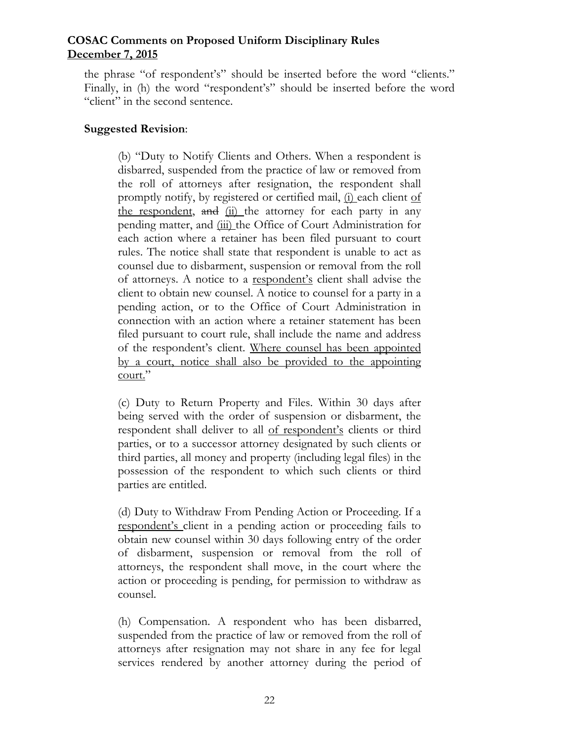the phrase "of respondent's" should be inserted before the word "clients." Finally, in (h) the word "respondent's" should be inserted before the word "client" in the second sentence.

### **Suggested Revision**:

(b) "Duty to Notify Clients and Others. When a respondent is disbarred, suspended from the practice of law or removed from the roll of attorneys after resignation, the respondent shall promptly notify, by registered or certified mail, (i) each client of the respondent, and (ii) the attorney for each party in any pending matter, and (iii) the Office of Court Administration for each action where a retainer has been filed pursuant to court rules. The notice shall state that respondent is unable to act as counsel due to disbarment, suspension or removal from the roll of attorneys. A notice to a respondent's client shall advise the client to obtain new counsel. A notice to counsel for a party in a pending action, or to the Office of Court Administration in connection with an action where a retainer statement has been filed pursuant to court rule, shall include the name and address of the respondent's client. Where counsel has been appointed by a court, notice shall also be provided to the appointing court."

(c) Duty to Return Property and Files. Within 30 days after being served with the order of suspension or disbarment, the respondent shall deliver to all of respondent's clients or third parties, or to a successor attorney designated by such clients or third parties, all money and property (including legal files) in the possession of the respondent to which such clients or third parties are entitled.

(d) Duty to Withdraw From Pending Action or Proceeding. If a respondent's client in a pending action or proceeding fails to obtain new counsel within 30 days following entry of the order of disbarment, suspension or removal from the roll of attorneys, the respondent shall move, in the court where the action or proceeding is pending, for permission to withdraw as counsel.

(h) Compensation. A respondent who has been disbarred, suspended from the practice of law or removed from the roll of attorneys after resignation may not share in any fee for legal services rendered by another attorney during the period of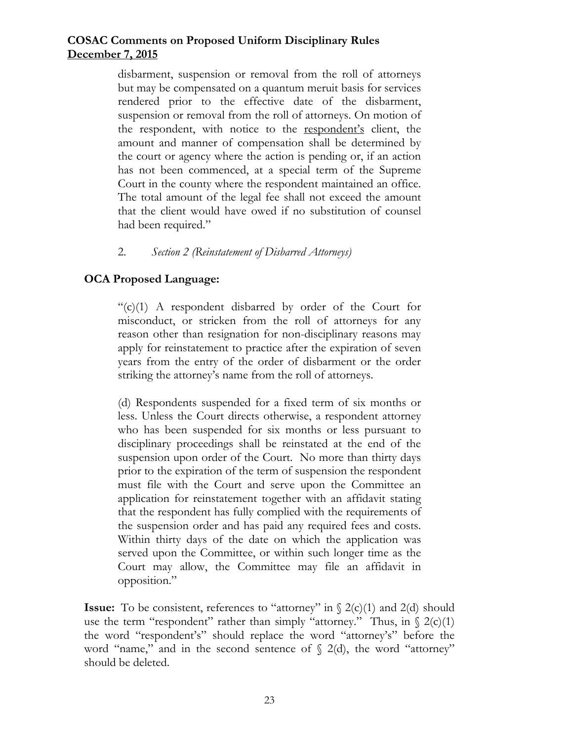disbarment, suspension or removal from the roll of attorneys but may be compensated on a quantum meruit basis for services rendered prior to the effective date of the disbarment, suspension or removal from the roll of attorneys. On motion of the respondent, with notice to the respondent's client, the amount and manner of compensation shall be determined by the court or agency where the action is pending or, if an action has not been commenced, at a special term of the Supreme Court in the county where the respondent maintained an office. The total amount of the legal fee shall not exceed the amount that the client would have owed if no substitution of counsel had been required."

#### 2. *Section 2 (Reinstatement of Disbarred Attorneys)*

### **OCA Proposed Language:**

 $C<sub>c</sub>(c)(1)$  A respondent disbarred by order of the Court for misconduct, or stricken from the roll of attorneys for any reason other than resignation for non-disciplinary reasons may apply for reinstatement to practice after the expiration of seven years from the entry of the order of disbarment or the order striking the attorney's name from the roll of attorneys.

(d) Respondents suspended for a fixed term of six months or less. Unless the Court directs otherwise, a respondent attorney who has been suspended for six months or less pursuant to disciplinary proceedings shall be reinstated at the end of the suspension upon order of the Court. No more than thirty days prior to the expiration of the term of suspension the respondent must file with the Court and serve upon the Committee an application for reinstatement together with an affidavit stating that the respondent has fully complied with the requirements of the suspension order and has paid any required fees and costs. Within thirty days of the date on which the application was served upon the Committee, or within such longer time as the Court may allow, the Committee may file an affidavit in opposition."

**Issue:** To be consistent, references to "attorney" in  $\{2(c)(1) \text{ and } 2(d) \text{ should}$ use the term "respondent" rather than simply "attorney." Thus, in  $\S$  2(c)(1) the word "respondent's" should replace the word "attorney's" before the word "name," and in the second sentence of  $\S$  2(d), the word "attorney" should be deleted.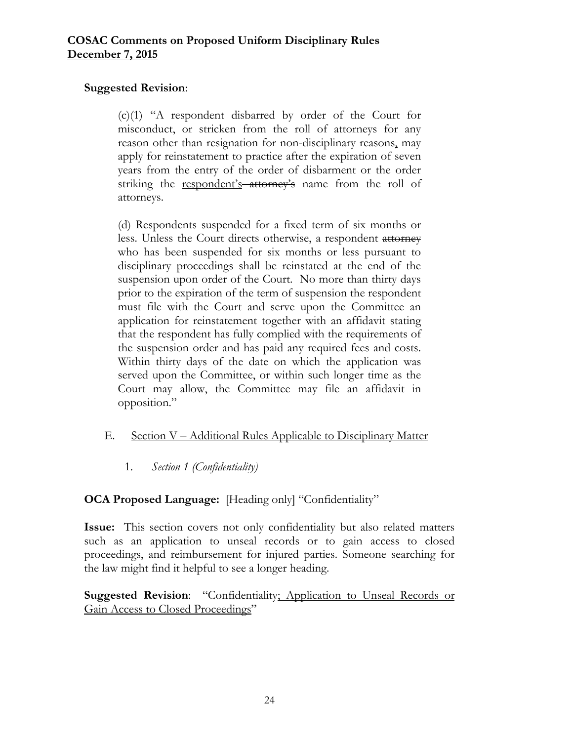## **Suggested Revision**:

(c)(1) "A respondent disbarred by order of the Court for misconduct, or stricken from the roll of attorneys for any reason other than resignation for non-disciplinary reasons, may apply for reinstatement to practice after the expiration of seven years from the entry of the order of disbarment or the order striking the respondent's attorney's name from the roll of attorneys.

(d) Respondents suspended for a fixed term of six months or less. Unless the Court directs otherwise, a respondent attorney who has been suspended for six months or less pursuant to disciplinary proceedings shall be reinstated at the end of the suspension upon order of the Court. No more than thirty days prior to the expiration of the term of suspension the respondent must file with the Court and serve upon the Committee an application for reinstatement together with an affidavit stating that the respondent has fully complied with the requirements of the suspension order and has paid any required fees and costs. Within thirty days of the date on which the application was served upon the Committee, or within such longer time as the Court may allow, the Committee may file an affidavit in opposition."

# E. Section V – Additional Rules Applicable to Disciplinary Matter

1. *Section 1 (Confidentiality)* 

# **OCA Proposed Language:** [Heading only] "Confidentiality"

**Issue:** This section covers not only confidentiality but also related matters such as an application to unseal records or to gain access to closed proceedings, and reimbursement for injured parties. Someone searching for the law might find it helpful to see a longer heading.

**Suggested Revision**: "Confidentiality; Application to Unseal Records or Gain Access to Closed Proceedings"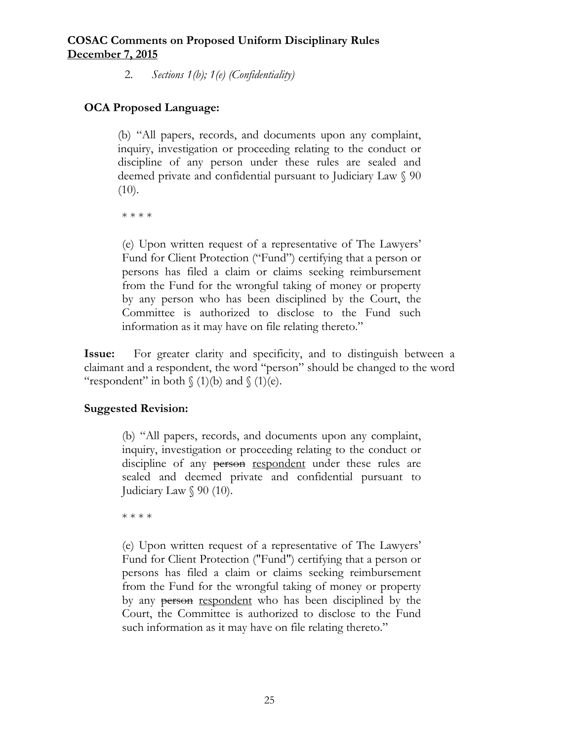2. *Sections 1(b); 1(e) (Confidentiality)* 

# **OCA Proposed Language:**

(b) "All papers, records, and documents upon any complaint, inquiry, investigation or proceeding relating to the conduct or discipline of any person under these rules are sealed and deemed private and confidential pursuant to Judiciary Law § 90  $(10).$ 

\* \* \* \*

(e) Upon written request of a representative of The Lawyers' Fund for Client Protection ("Fund") certifying that a person or persons has filed a claim or claims seeking reimbursement from the Fund for the wrongful taking of money or property by any person who has been disciplined by the Court, the Committee is authorized to disclose to the Fund such information as it may have on file relating thereto."

**Issue:** For greater clarity and specificity, and to distinguish between a claimant and a respondent, the word "person" should be changed to the word "respondent" in both  $\{(1)(b)$  and  $\{(1)(e)$ .

# **Suggested Revision:**

(b) "All papers, records, and documents upon any complaint, inquiry, investigation or proceeding relating to the conduct or discipline of any person respondent under these rules are sealed and deemed private and confidential pursuant to Judiciary Law § 90 (10).

\* \* \* \*

(e) Upon written request of a representative of The Lawyers' Fund for Client Protection ("Fund") certifying that a person or persons has filed a claim or claims seeking reimbursement from the Fund for the wrongful taking of money or property by any person respondent who has been disciplined by the Court, the Committee is authorized to disclose to the Fund such information as it may have on file relating thereto."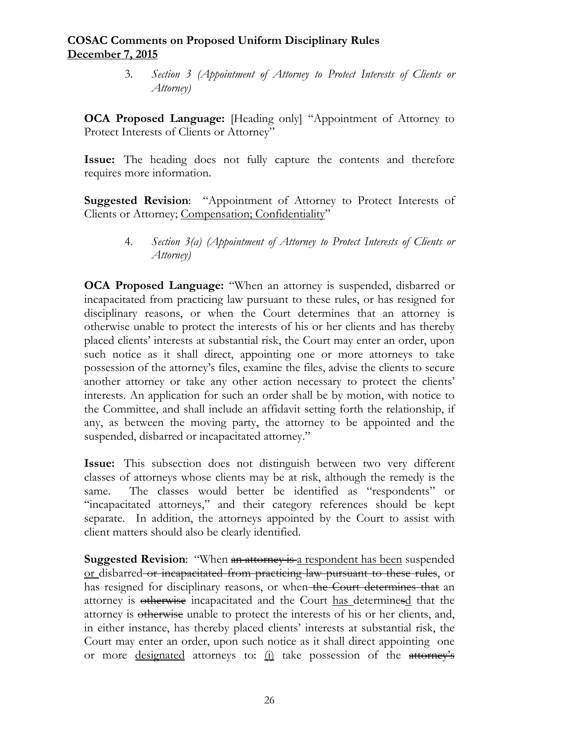3. *Section 3 (Appointment of Attorney to Protect Interests of Clients or Attorney)* 

**OCA Proposed Language:** [Heading only] "Appointment of Attorney to Protect Interests of Clients or Attorney"

**Issue:** The heading does not fully capture the contents and therefore requires more information.

**Suggested Revision**: "Appointment of Attorney to Protect Interests of Clients or Attorney; Compensation; Confidentiality"

> 4. *Section 3(a) (Appointment of Attorney to Protect Interests of Clients or Attorney)*

**OCA Proposed Language:** "When an attorney is suspended, disbarred or incapacitated from practicing law pursuant to these rules, or has resigned for disciplinary reasons, or when the Court determines that an attorney is otherwise unable to protect the interests of his or her clients and has thereby placed clients' interests at substantial risk, the Court may enter an order, upon such notice as it shall direct, appointing one or more attorneys to take possession of the attorney's files, examine the files, advise the clients to secure another attorney or take any other action necessary to protect the clients' interests. An application for such an order shall be by motion, with notice to the Committee, and shall include an affidavit setting forth the relationship, if any, as between the moving party, the attorney to be appointed and the suspended, disbarred or incapacitated attorney."

**Issue:** This subsection does not distinguish between two very different classes of attorneys whose clients may be at risk, although the remedy is the same. The classes would better be identified as "respondents" or "incapacitated attorneys," and their category references should be kept separate. In addition, the attorneys appointed by the Court to assist with client matters should also be clearly identified.

**Suggested Revision:** "When an attorney is a respondent has been suspended or disbarred or incapacitated from practicing law pursuant to these rules, or has resigned for disciplinary reasons, or when the Court determines that an attorney is otherwise incapacitated and the Court has determinesd that the attorney is otherwise unable to protect the interests of his or her clients, and, in either instance, has thereby placed clients' interests at substantial risk, the Court may enter an order, upon such notice as it shall direct appointing one or more designated attorneys to:  $(i)$  take possession of the attorney's